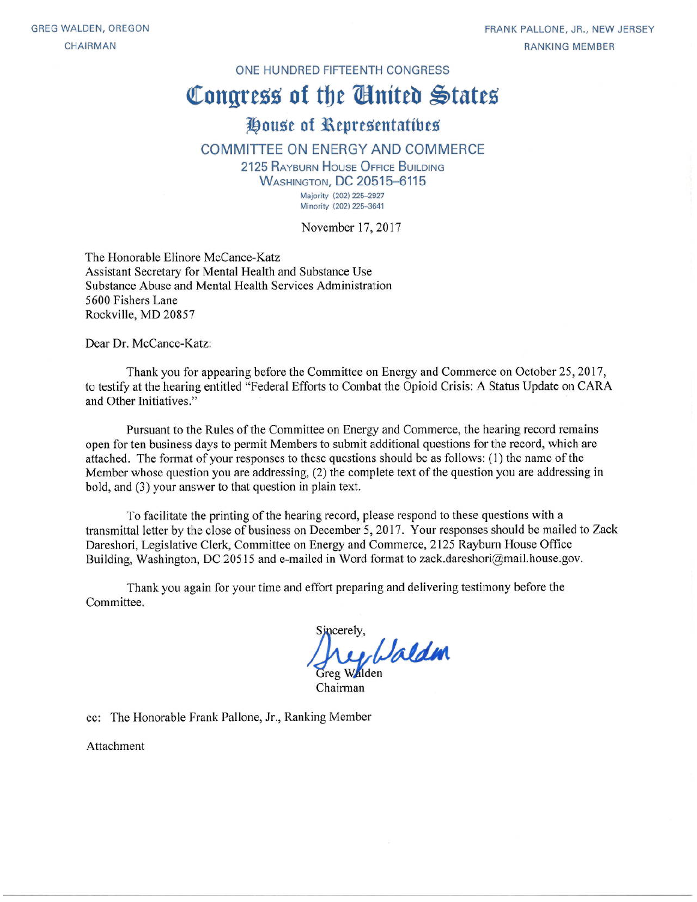#### ONE HUNDRED FIFTEENTH CONGRESS

# Congress of the Ginited States

## House of Representatives

#### **COMMITTEE ON ENERGY AND COMMERCE**

2125 RAYBURN HOUSE OFFICE BUILDING **WASHINGTON, DC 20515-6115** Majority (202) 225-2927 Minority (202) 225-3641

November 17, 2017

The Honorable Elinore McCance-Katz Assistant Secretary for Mental Health and Substance Use Substance Abuse and Mental Health Services Administration 5600 Fishers Lane Rockville, MD 20857

Dear Dr. McCance-Katz:

Thank you for appearing before the Committee on Energy and Commerce on October 25, 2017, to testify at the hearing entitled "Federal Efforts to Combat the Opioid Crisis: A Status Update on CARA and Other Initiatives."

Pursuant to the Rules of the Committee on Energy and Commerce, the hearing record remains open for ten business days to permit Members to submit additional questions for the record, which are attached. The format of your responses to these questions should be as follows: (1) the name of the Member whose question you are addressing, (2) the complete text of the question you are addressing in bold, and (3) your answer to that question in plain text.

To facilitate the printing of the hearing record, please respond to these questions with a transmittal letter by the close of business on December 5, 2017. Your responses should be mailed to Zack Dareshori, Legislative Clerk, Committee on Energy and Commerce, 2125 Rayburn House Office Building, Washington, DC 20515 and e-mailed in Word format to zack.dareshori@mail.house.gov.

Thank you again for your time and effort preparing and delivering testimony before the Committee.

incerely. hey Waldm

cc: The Honorable Frank Pallone, Jr., Ranking Member

Attachment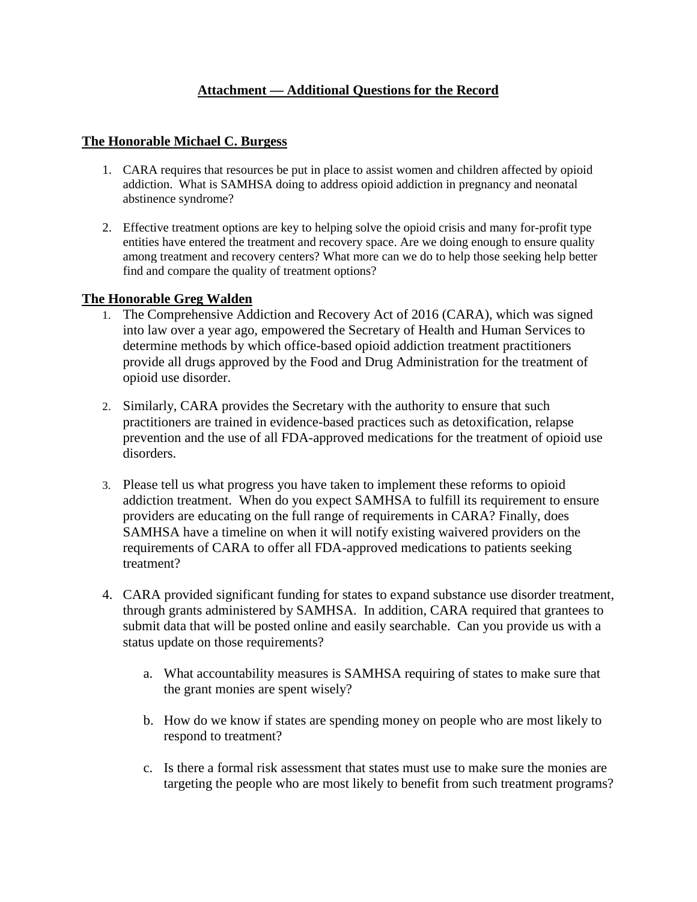### **Attachment — Additional Questions for the Record**

#### **The Honorable Michael C. Burgess**

- 1. CARA requires that resources be put in place to assist women and children affected by opioid addiction. What is SAMHSA doing to address opioid addiction in pregnancy and neonatal abstinence syndrome?
- 2. Effective treatment options are key to helping solve the opioid crisis and many for-profit type entities have entered the treatment and recovery space. Are we doing enough to ensure quality among treatment and recovery centers? What more can we do to help those seeking help better find and compare the quality of treatment options?

#### **The Honorable Greg Walden**

- 1. The Comprehensive Addiction and Recovery Act of 2016 (CARA), which was signed into law over a year ago, empowered the Secretary of Health and Human Services to determine methods by which office-based opioid addiction treatment practitioners provide all drugs approved by the Food and Drug Administration for the treatment of opioid use disorder.
- 2. Similarly, CARA provides the Secretary with the authority to ensure that such practitioners are trained in evidence-based practices such as detoxification, relapse prevention and the use of all FDA-approved medications for the treatment of opioid use disorders.
- 3. Please tell us what progress you have taken to implement these reforms to opioid addiction treatment. When do you expect SAMHSA to fulfill its requirement to ensure providers are educating on the full range of requirements in CARA? Finally, does SAMHSA have a timeline on when it will notify existing waivered providers on the requirements of CARA to offer all FDA-approved medications to patients seeking treatment?
- 4. CARA provided significant funding for states to expand substance use disorder treatment, through grants administered by SAMHSA. In addition, CARA required that grantees to submit data that will be posted online and easily searchable. Can you provide us with a status update on those requirements?
	- a. What accountability measures is SAMHSA requiring of states to make sure that the grant monies are spent wisely?
	- b. How do we know if states are spending money on people who are most likely to respond to treatment?
	- c. Is there a formal risk assessment that states must use to make sure the monies are targeting the people who are most likely to benefit from such treatment programs?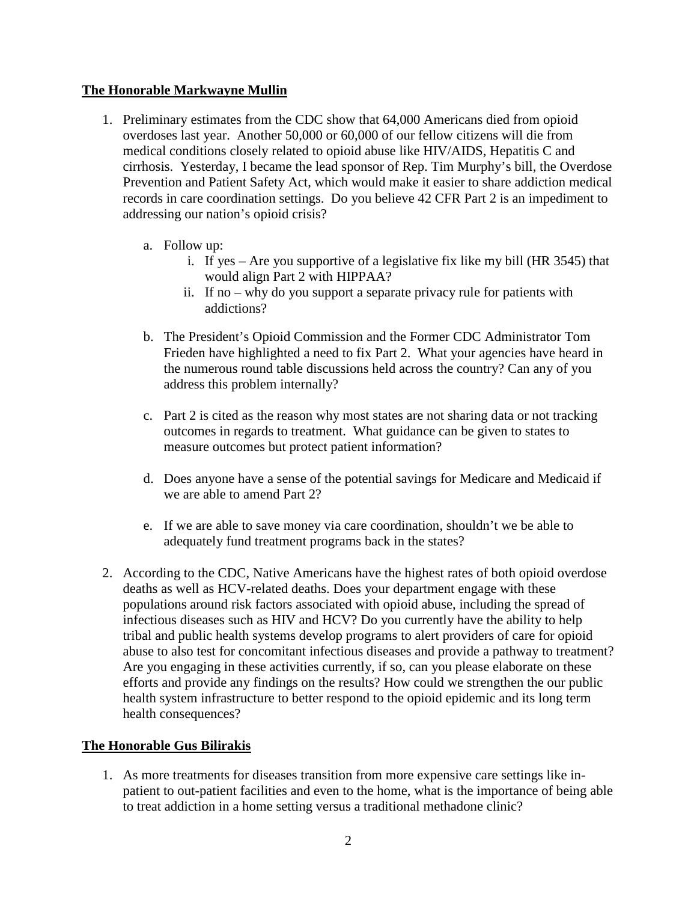#### **The Honorable Markwayne Mullin**

- 1. Preliminary estimates from the CDC show that 64,000 Americans died from opioid overdoses last year. Another 50,000 or 60,000 of our fellow citizens will die from medical conditions closely related to opioid abuse like HIV/AIDS, Hepatitis C and cirrhosis. Yesterday, I became the lead sponsor of Rep. Tim Murphy's bill, the Overdose Prevention and Patient Safety Act, which would make it easier to share addiction medical records in care coordination settings. Do you believe 42 CFR Part 2 is an impediment to addressing our nation's opioid crisis?
	- a. Follow up:
		- i. If yes Are you supportive of a legislative fix like my bill (HR 3545) that would align Part 2 with HIPPAA?
		- ii. If no why do you support a separate privacy rule for patients with addictions?
	- b. The President's Opioid Commission and the Former CDC Administrator Tom Frieden have highlighted a need to fix Part 2. What your agencies have heard in the numerous round table discussions held across the country? Can any of you address this problem internally?
	- c. Part 2 is cited as the reason why most states are not sharing data or not tracking outcomes in regards to treatment. What guidance can be given to states to measure outcomes but protect patient information?
	- d. Does anyone have a sense of the potential savings for Medicare and Medicaid if we are able to amend Part 2?
	- e. If we are able to save money via care coordination, shouldn't we be able to adequately fund treatment programs back in the states?
- 2. According to the CDC, Native Americans have the highest rates of both opioid overdose deaths as well as HCV-related deaths. Does your department engage with these populations around risk factors associated with opioid abuse, including the spread of infectious diseases such as HIV and HCV? Do you currently have the ability to help tribal and public health systems develop programs to alert providers of care for opioid abuse to also test for concomitant infectious diseases and provide a pathway to treatment? Are you engaging in these activities currently, if so, can you please elaborate on these efforts and provide any findings on the results? How could we strengthen the our public health system infrastructure to better respond to the opioid epidemic and its long term health consequences?

#### **The Honorable Gus Bilirakis**

1. As more treatments for diseases transition from more expensive care settings like inpatient to out-patient facilities and even to the home, what is the importance of being able to treat addiction in a home setting versus a traditional methadone clinic?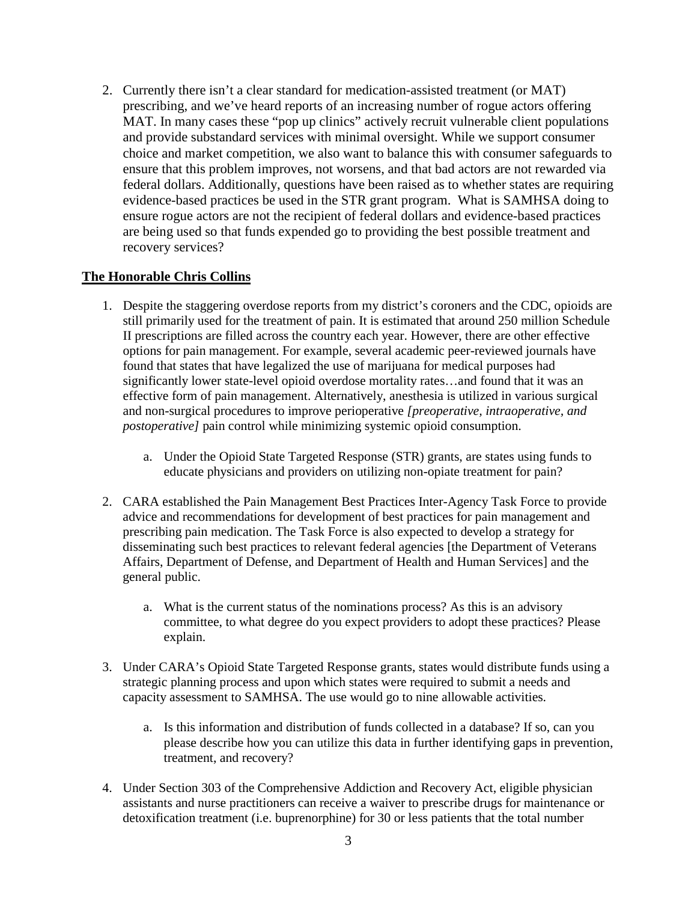2. Currently there isn't a clear standard for medication-assisted treatment (or MAT) prescribing, and we've heard reports of an increasing number of rogue actors offering MAT. In many cases these "pop up clinics" actively recruit vulnerable client populations and provide substandard services with minimal oversight. While we support consumer choice and market competition, we also want to balance this with consumer safeguards to ensure that this problem improves, not worsens, and that bad actors are not rewarded via federal dollars. Additionally, questions have been raised as to whether states are requiring evidence-based practices be used in the STR grant program. What is SAMHSA doing to ensure rogue actors are not the recipient of federal dollars and evidence-based practices are being used so that funds expended go to providing the best possible treatment and recovery services?

#### **The Honorable Chris Collins**

- 1. Despite the staggering overdose reports from my district's coroners and the CDC, opioids are still primarily used for the treatment of pain. It is estimated that around 250 million Schedule II prescriptions are filled across the country each year. However, there are other effective options for pain management. For example, several academic peer-reviewed journals have found that states that have legalized the use of marijuana for medical purposes had significantly lower state-level opioid overdose mortality rates…and found that it was an effective form of pain management. Alternatively, anesthesia is utilized in various surgical and non-surgical procedures to improve perioperative *[preoperative, intraoperative, and postoperative]* pain control while minimizing systemic opioid consumption.
	- a. Under the Opioid State Targeted Response (STR) grants, are states using funds to educate physicians and providers on utilizing non-opiate treatment for pain?
- 2. CARA established the Pain Management Best Practices Inter-Agency Task Force to provide advice and recommendations for development of best practices for pain management and prescribing pain medication. The Task Force is also expected to develop a strategy for disseminating such best practices to relevant federal agencies [the Department of Veterans Affairs, Department of Defense, and Department of Health and Human Services] and the general public.
	- a. What is the current status of the nominations process? As this is an advisory committee, to what degree do you expect providers to adopt these practices? Please explain.
- 3. Under CARA's Opioid State Targeted Response grants, states would distribute funds using a strategic planning process and upon which states were required to submit a needs and capacity assessment to SAMHSA. The use would go to nine allowable activities.
	- a. Is this information and distribution of funds collected in a database? If so, can you please describe how you can utilize this data in further identifying gaps in prevention, treatment, and recovery?
- 4. Under Section 303 of the Comprehensive Addiction and Recovery Act, eligible physician assistants and nurse practitioners can receive a waiver to prescribe drugs for maintenance or detoxification treatment (i.e. buprenorphine) for 30 or less patients that the total number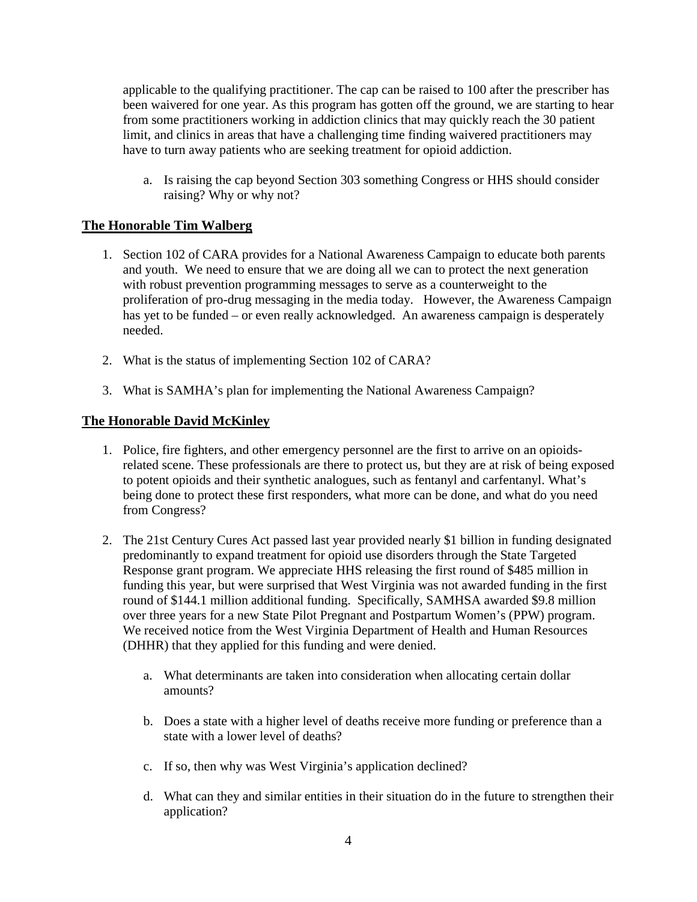applicable to the qualifying practitioner. The cap can be raised to 100 after the prescriber has been waivered for one year. As this program has gotten off the ground, we are starting to hear from some practitioners working in addiction clinics that may quickly reach the 30 patient limit, and clinics in areas that have a challenging time finding waivered practitioners may have to turn away patients who are seeking treatment for opioid addiction.

a. Is raising the cap beyond Section 303 something Congress or HHS should consider raising? Why or why not?

#### **The Honorable Tim Walberg**

- 1. Section 102 of CARA provides for a National Awareness Campaign to educate both parents and youth. We need to ensure that we are doing all we can to protect the next generation with robust prevention programming messages to serve as a counterweight to the proliferation of pro-drug messaging in the media today. However, the Awareness Campaign has yet to be funded – or even really acknowledged. An awareness campaign is desperately needed.
- 2. What is the status of implementing Section 102 of CARA?
- 3. What is SAMHA's plan for implementing the National Awareness Campaign?

#### **The Honorable David McKinley**

- 1. Police, fire fighters, and other emergency personnel are the first to arrive on an opioidsrelated scene. These professionals are there to protect us, but they are at risk of being exposed to potent opioids and their synthetic analogues, such as fentanyl and carfentanyl. What's being done to protect these first responders, what more can be done, and what do you need from Congress?
- 2. The 21st Century Cures Act passed last year provided nearly \$1 billion in funding designated predominantly to expand treatment for opioid use disorders through the State Targeted Response grant program. We appreciate HHS releasing the first round of \$485 million in funding this year, but were surprised that West Virginia was not awarded funding in the first round of \$144.1 million additional funding. Specifically, SAMHSA awarded \$9.8 million over three years for a new State Pilot Pregnant and Postpartum Women's (PPW) program. We received notice from the West Virginia Department of Health and Human Resources (DHHR) that they applied for this funding and were denied.
	- a. What determinants are taken into consideration when allocating certain dollar amounts?
	- b. Does a state with a higher level of deaths receive more funding or preference than a state with a lower level of deaths?
	- c. If so, then why was West Virginia's application declined?
	- d. What can they and similar entities in their situation do in the future to strengthen their application?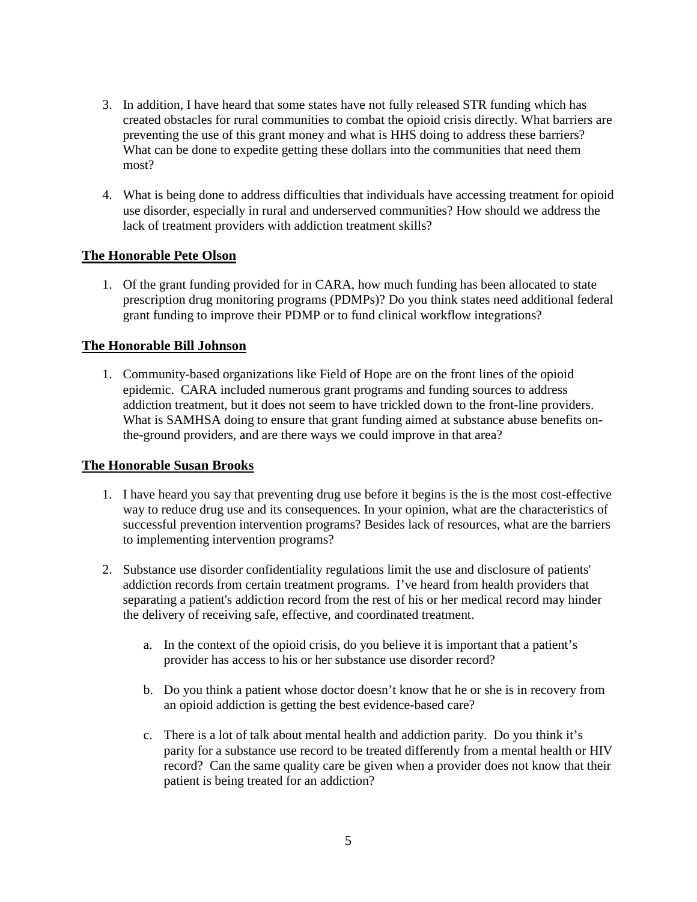- 3. In addition, I have heard that some states have not fully released STR funding which has created obstacles for rural communities to combat the opioid crisis directly. What barriers are preventing the use of this grant money and what is HHS doing to address these barriers? What can be done to expedite getting these dollars into the communities that need them most?
- 4. What is being done to address difficulties that individuals have accessing treatment for opioid use disorder, especially in rural and underserved communities? How should we address the lack of treatment providers with addiction treatment skills?

#### **The Honorable Pete Olson**

1. Of the grant funding provided for in CARA, how much funding has been allocated to state prescription drug monitoring programs (PDMPs)? Do you think states need additional federal grant funding to improve their PDMP or to fund clinical workflow integrations?

#### **The Honorable Bill Johnson**

1. Community-based organizations like Field of Hope are on the front lines of the opioid epidemic. CARA included numerous grant programs and funding sources to address addiction treatment, but it does not seem to have trickled down to the front-line providers. What is SAMHSA doing to ensure that grant funding aimed at substance abuse benefits onthe-ground providers, and are there ways we could improve in that area?

#### **The Honorable Susan Brooks**

- 1. I have heard you say that preventing drug use before it begins is the is the most cost-effective way to reduce drug use and its consequences. In your opinion, what are the characteristics of successful prevention intervention programs? Besides lack of resources, what are the barriers to implementing intervention programs?
- 2. Substance use disorder confidentiality regulations limit the use and disclosure of patients' addiction records from certain treatment programs. I've heard from health providers that separating a patient's addiction record from the rest of his or her medical record may hinder the delivery of receiving safe, effective, and coordinated treatment.
	- a. In the context of the opioid crisis, do you believe it is important that a patient's provider has access to his or her substance use disorder record?
	- b. Do you think a patient whose doctor doesn't know that he or she is in recovery from an opioid addiction is getting the best evidence-based care?
	- c. There is a lot of talk about mental health and addiction parity. Do you think it's parity for a substance use record to be treated differently from a mental health or HIV record? Can the same quality care be given when a provider does not know that their patient is being treated for an addiction?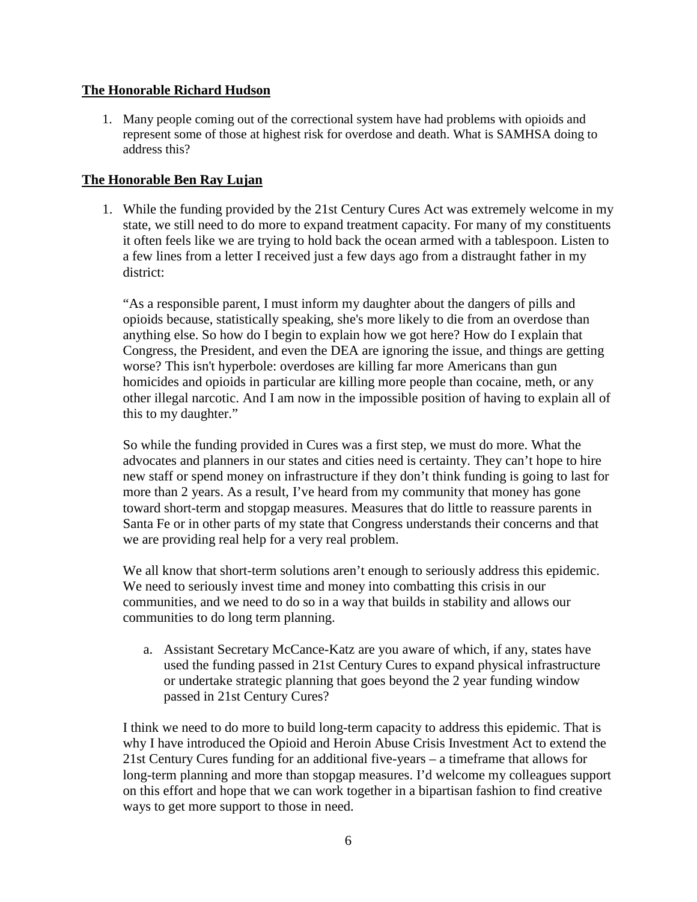#### **The Honorable Richard Hudson**

1. Many people coming out of the correctional system have had problems with opioids and represent some of those at highest risk for overdose and death. What is SAMHSA doing to address this?

#### **The Honorable Ben Ray Lujan**

1. While the funding provided by the 21st Century Cures Act was extremely welcome in my state, we still need to do more to expand treatment capacity. For many of my constituents it often feels like we are trying to hold back the ocean armed with a tablespoon. Listen to a few lines from a letter I received just a few days ago from a distraught father in my district:

"As a responsible parent, I must inform my daughter about the dangers of pills and opioids because, statistically speaking, she's more likely to die from an overdose than anything else. So how do I begin to explain how we got here? How do I explain that Congress, the President, and even the DEA are ignoring the issue, and things are getting worse? This isn't hyperbole: overdoses are killing far more Americans than gun homicides and opioids in particular are killing more people than cocaine, meth, or any other illegal narcotic. And I am now in the impossible position of having to explain all of this to my daughter."

So while the funding provided in Cures was a first step, we must do more. What the advocates and planners in our states and cities need is certainty. They can't hope to hire new staff or spend money on infrastructure if they don't think funding is going to last for more than 2 years. As a result, I've heard from my community that money has gone toward short-term and stopgap measures. Measures that do little to reassure parents in Santa Fe or in other parts of my state that Congress understands their concerns and that we are providing real help for a very real problem.

We all know that short-term solutions aren't enough to seriously address this epidemic. We need to seriously invest time and money into combatting this crisis in our communities, and we need to do so in a way that builds in stability and allows our communities to do long term planning.

a. Assistant Secretary McCance-Katz are you aware of which, if any, states have used the funding passed in 21st Century Cures to expand physical infrastructure or undertake strategic planning that goes beyond the 2 year funding window passed in 21st Century Cures?

I think we need to do more to build long-term capacity to address this epidemic. That is why I have introduced the Opioid and Heroin Abuse Crisis Investment Act to extend the 21st Century Cures funding for an additional five-years – a timeframe that allows for long-term planning and more than stopgap measures. I'd welcome my colleagues support on this effort and hope that we can work together in a bipartisan fashion to find creative ways to get more support to those in need.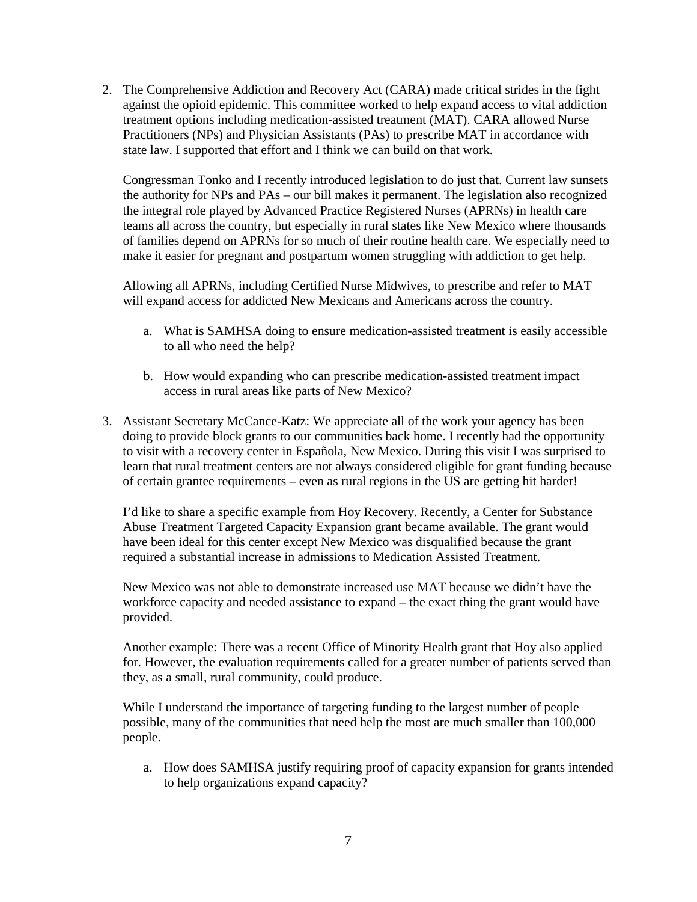2. The Comprehensive Addiction and Recovery Act (CARA) made critical strides in the fight against the opioid epidemic. This committee worked to help expand access to vital addiction treatment options including medication-assisted treatment (MAT). CARA allowed Nurse Practitioners (NPs) and Physician Assistants (PAs) to prescribe MAT in accordance with state law. I supported that effort and I think we can build on that work.

Congressman Tonko and I recently introduced legislation to do just that. Current law sunsets the authority for NPs and PAs – our bill makes it permanent. The legislation also recognized the integral role played by Advanced Practice Registered Nurses (APRNs) in health care teams all across the country, but especially in rural states like New Mexico where thousands of families depend on APRNs for so much of their routine health care. We especially need to make it easier for pregnant and postpartum women struggling with addiction to get help.

Allowing all APRNs, including Certified Nurse Midwives, to prescribe and refer to MAT will expand access for addicted New Mexicans and Americans across the country.

- a. What is SAMHSA doing to ensure medication-assisted treatment is easily accessible to all who need the help?
- b. How would expanding who can prescribe medication-assisted treatment impact access in rural areas like parts of New Mexico?
- 3. Assistant Secretary McCance-Katz: We appreciate all of the work your agency has been doing to provide block grants to our communities back home. I recently had the opportunity to visit with a recovery center in Española, New Mexico. During this visit I was surprised to learn that rural treatment centers are not always considered eligible for grant funding because of certain grantee requirements – even as rural regions in the US are getting hit harder!

I'd like to share a specific example from Hoy Recovery. Recently, a Center for Substance Abuse Treatment Targeted Capacity Expansion grant became available. The grant would have been ideal for this center except New Mexico was disqualified because the grant required a substantial increase in admissions to Medication Assisted Treatment.

New Mexico was not able to demonstrate increased use MAT because we didn't have the workforce capacity and needed assistance to expand – the exact thing the grant would have provided.

Another example: There was a recent Office of Minority Health grant that Hoy also applied for. However, the evaluation requirements called for a greater number of patients served than they, as a small, rural community, could produce.

While I understand the importance of targeting funding to the largest number of people possible, many of the communities that need help the most are much smaller than 100,000 people.

a. How does SAMHSA justify requiring proof of capacity expansion for grants intended to help organizations expand capacity?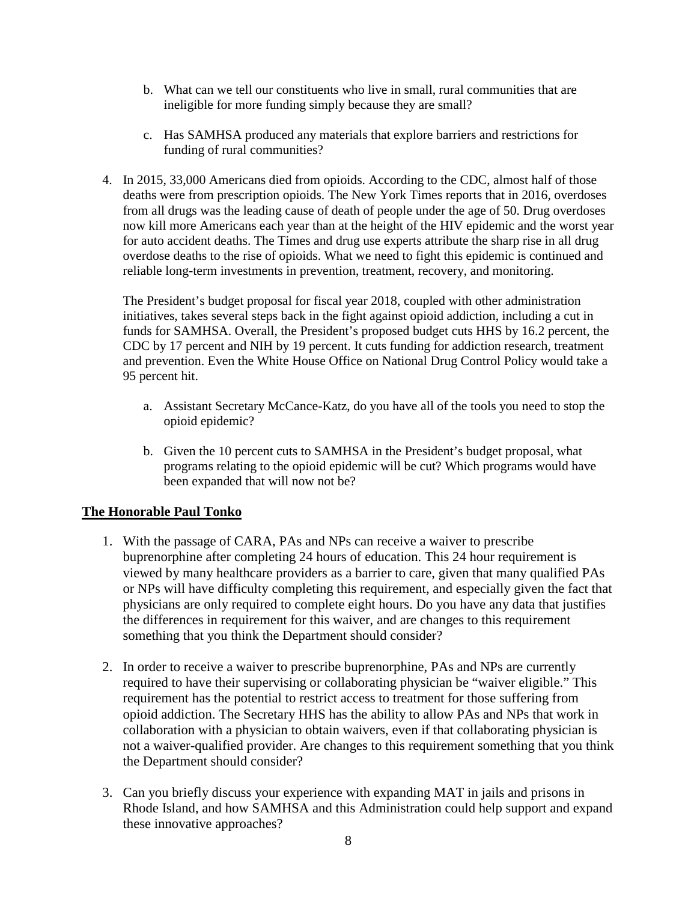- b. What can we tell our constituents who live in small, rural communities that are ineligible for more funding simply because they are small?
- c. Has SAMHSA produced any materials that explore barriers and restrictions for funding of rural communities?
- 4. In 2015, 33,000 Americans died from opioids. According to the CDC, almost half of those deaths were from prescription opioids. The New York Times reports that in 2016, overdoses from all drugs was the leading cause of death of people under the age of 50. Drug overdoses now kill more Americans each year than at the height of the HIV epidemic and the worst year for auto accident deaths. The Times and drug use experts attribute the sharp rise in all drug overdose deaths to the rise of opioids. What we need to fight this epidemic is continued and reliable long-term investments in prevention, treatment, recovery, and monitoring.

The President's budget proposal for fiscal year 2018, coupled with other administration initiatives, takes several steps back in the fight against opioid addiction, including a cut in funds for SAMHSA. Overall, the President's proposed budget cuts HHS by 16.2 percent, the CDC by 17 percent and NIH by 19 percent. It cuts funding for addiction research, treatment and prevention. Even the White House Office on National Drug Control Policy would take a 95 percent hit.

- a. Assistant Secretary McCance-Katz, do you have all of the tools you need to stop the opioid epidemic?
- b. Given the 10 percent cuts to SAMHSA in the President's budget proposal, what programs relating to the opioid epidemic will be cut? Which programs would have been expanded that will now not be?

#### **The Honorable Paul Tonko**

- 1. With the passage of CARA, PAs and NPs can receive a waiver to prescribe buprenorphine after completing 24 hours of education. This 24 hour requirement is viewed by many healthcare providers as a barrier to care, given that many qualified PAs or NPs will have difficulty completing this requirement, and especially given the fact that physicians are only required to complete eight hours. Do you have any data that justifies the differences in requirement for this waiver, and are changes to this requirement something that you think the Department should consider?
- 2. In order to receive a waiver to prescribe buprenorphine, PAs and NPs are currently required to have their supervising or collaborating physician be "waiver eligible." This requirement has the potential to restrict access to treatment for those suffering from opioid addiction. The Secretary HHS has the ability to allow PAs and NPs that work in collaboration with a physician to obtain waivers, even if that collaborating physician is not a waiver-qualified provider. Are changes to this requirement something that you think the Department should consider?
- 3. Can you briefly discuss your experience with expanding MAT in jails and prisons in Rhode Island, and how SAMHSA and this Administration could help support and expand these innovative approaches?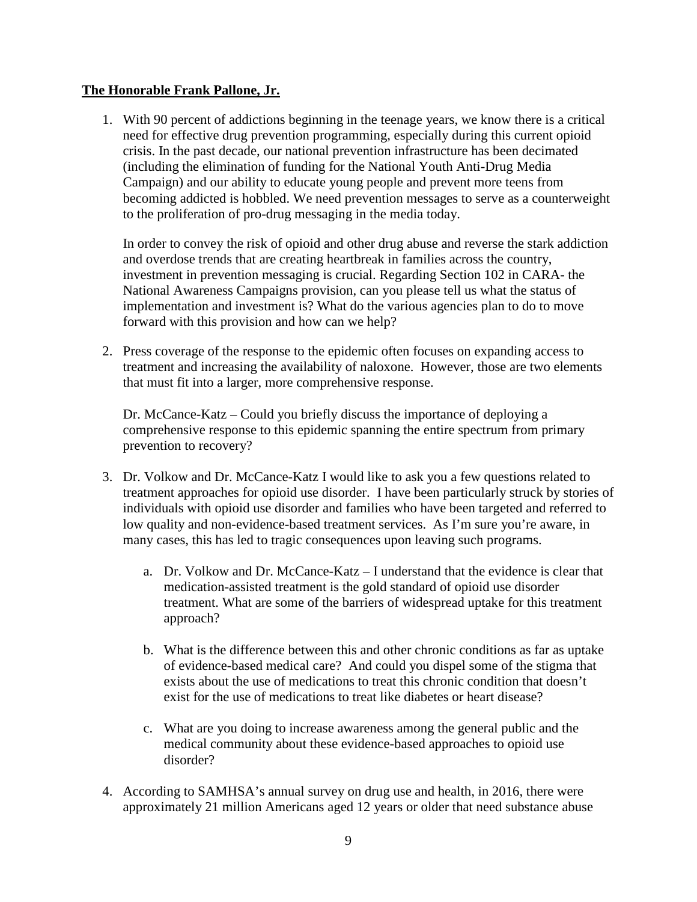#### **The Honorable Frank Pallone, Jr.**

1. With 90 percent of addictions beginning in the teenage years, we know there is a critical need for effective drug prevention programming, especially during this current opioid crisis. In the past decade, our national prevention infrastructure has been decimated (including the elimination of funding for the National Youth Anti-Drug Media Campaign) and our ability to educate young people and prevent more teens from becoming addicted is hobbled. We need prevention messages to serve as a counterweight to the proliferation of pro-drug messaging in the media today.

In order to convey the risk of opioid and other drug abuse and reverse the stark addiction and overdose trends that are creating heartbreak in families across the country, investment in prevention messaging is crucial. Regarding Section 102 in CARA- the National Awareness Campaigns provision, can you please tell us what the status of implementation and investment is? What do the various agencies plan to do to move forward with this provision and how can we help?

2. Press coverage of the response to the epidemic often focuses on expanding access to treatment and increasing the availability of naloxone. However, those are two elements that must fit into a larger, more comprehensive response.

Dr. McCance-Katz – Could you briefly discuss the importance of deploying a comprehensive response to this epidemic spanning the entire spectrum from primary prevention to recovery?

- 3. Dr. Volkow and Dr. McCance-Katz I would like to ask you a few questions related to treatment approaches for opioid use disorder. I have been particularly struck by stories of individuals with opioid use disorder and families who have been targeted and referred to low quality and non-evidence-based treatment services. As I'm sure you're aware, in many cases, this has led to tragic consequences upon leaving such programs.
	- a. Dr. Volkow and Dr. McCance-Katz I understand that the evidence is clear that medication-assisted treatment is the gold standard of opioid use disorder treatment. What are some of the barriers of widespread uptake for this treatment approach?
	- b. What is the difference between this and other chronic conditions as far as uptake of evidence-based medical care? And could you dispel some of the stigma that exists about the use of medications to treat this chronic condition that doesn't exist for the use of medications to treat like diabetes or heart disease?
	- c. What are you doing to increase awareness among the general public and the medical community about these evidence-based approaches to opioid use disorder?
- 4. According to SAMHSA's annual survey on drug use and health, in 2016, there were approximately 21 million Americans aged 12 years or older that need substance abuse